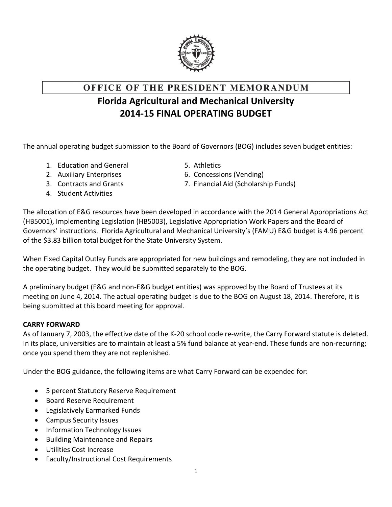

# OFFICE OF THE PRESIDENT MEMORANDUM

### **Florida Agricultural and Mechanical University 2014-15 FINAL OPERATING BUDGET**

The annual operating budget submission to the Board of Governors (BOG) includes seven budget entities:

- 1. Education and General 5. Athletics
- 
- 
- 4. Student Activities
- 
- 2. Auxiliary Enterprises 6. Concessions (Vending)
- 3. Contracts and Grants 7. Financial Aid (Scholarship Funds)

The allocation of E&G resources have been developed in accordance with the 2014 General Appropriations Act (HB5001), Implementing Legislation (HB5003), Legislative Appropriation Work Papers and the Board of Governors' instructions. Florida Agricultural and Mechanical University's (FAMU) E&G budget is 4.96 percent of the \$3.83 billion total budget for the State University System.

When Fixed Capital Outlay Funds are appropriated for new buildings and remodeling, they are not included in the operating budget. They would be submitted separately to the BOG.

A preliminary budget (E&G and non-E&G budget entities) was approved by the Board of Trustees at its meeting on June 4, 2014. The actual operating budget is due to the BOG on August 18, 2014. Therefore, it is being submitted at this board meeting for approval.

#### **CARRY FORWARD**

As of January 7, 2003, the effective date of the K-20 school code re-write, the Carry Forward statute is deleted. In its place, universities are to maintain at least a 5% fund balance at year-end. These funds are non-recurring; once you spend them they are not replenished.

Under the BOG guidance, the following items are what Carry Forward can be expended for:

- 5 percent Statutory Reserve Requirement
- **Board Reserve Requirement**
- Legislatively Earmarked Funds
- Campus Security Issues
- Information Technology Issues
- Building Maintenance and Repairs
- Utilities Cost Increase
- Faculty/Instructional Cost Requirements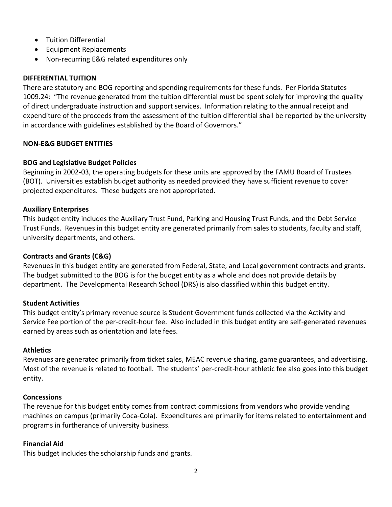- **•** Tuition Differential
- **•** Equipment Replacements
- Non-recurring E&G related expenditures only

#### **DIFFERENTIAL TUITION**

There are statutory and BOG reporting and spending requirements for these funds. Per Florida Statutes 1009.24: "The revenue generated from the tuition differential must be spent solely for improving the quality of direct undergraduate instruction and support services. Information relating to the annual receipt and expenditure of the proceeds from the assessment of the tuition differential shall be reported by the university in accordance with guidelines established by the Board of Governors."

#### **NON-E&G BUDGET ENTITIES**

#### **BOG and Legislative Budget Policies**

Beginning in 2002-03, the operating budgets for these units are approved by the FAMU Board of Trustees (BOT). Universities establish budget authority as needed provided they have sufficient revenue to cover projected expenditures. These budgets are not appropriated.

#### **Auxiliary Enterprises**

This budget entity includes the Auxiliary Trust Fund, Parking and Housing Trust Funds, and the Debt Service Trust Funds. Revenues in this budget entity are generated primarily from sales to students, faculty and staff, university departments, and others.

#### **Contracts and Grants (C&G)**

Revenues in this budget entity are generated from Federal, State, and Local government contracts and grants. The budget submitted to the BOG is for the budget entity as a whole and does not provide details by department. The Developmental Research School (DRS) is also classified within this budget entity.

#### **Student Activities**

This budget entity's primary revenue source is Student Government funds collected via the Activity and Service Fee portion of the per-credit-hour fee. Also included in this budget entity are self-generated revenues earned by areas such as orientation and late fees.

#### **Athletics**

Revenues are generated primarily from ticket sales, MEAC revenue sharing, game guarantees, and advertising. Most of the revenue is related to football. The students' per-credit-hour athletic fee also goes into this budget entity.

#### **Concessions**

The revenue for this budget entity comes from contract commissions from vendors who provide vending machines on campus (primarily Coca-Cola). Expenditures are primarily for items related to entertainment and programs in furtherance of university business.

#### **Financial Aid**

This budget includes the scholarship funds and grants.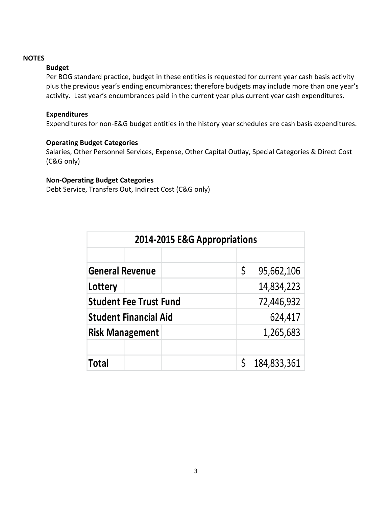#### **NOTES**

#### **Budget**

Per BOG standard practice, budget in these entities is requested for current year cash basis activity plus the previous year's ending encumbrances; therefore budgets may include more than one year's activity. Last year's encumbrances paid in the current year plus current year cash expenditures.

#### **Expenditures**

Expenditures for non-E&G budget entities in the history year schedules are cash basis expenditures.

#### **Operating Budget Categories**

Salaries, Other Personnel Services, Expense, Other Capital Outlay, Special Categories & Direct Cost (C&G only)

#### **Non-Operating Budget Categories**

Debt Service, Transfers Out, Indirect Cost (C&G only)

| 2014-2015 E&G Appropriations  |                  |  |  |  |  |  |  |  |  |  |
|-------------------------------|------------------|--|--|--|--|--|--|--|--|--|
|                               |                  |  |  |  |  |  |  |  |  |  |
| <b>General Revenue</b>        | \$<br>95,662,106 |  |  |  |  |  |  |  |  |  |
| Lottery                       | 14,834,223       |  |  |  |  |  |  |  |  |  |
| <b>Student Fee Trust Fund</b> | 72,446,932       |  |  |  |  |  |  |  |  |  |
| <b>Student Financial Aid</b>  | 624,417          |  |  |  |  |  |  |  |  |  |
| <b>Risk Management</b>        | 1,265,683        |  |  |  |  |  |  |  |  |  |
|                               |                  |  |  |  |  |  |  |  |  |  |
| Total                         | 184,833,361      |  |  |  |  |  |  |  |  |  |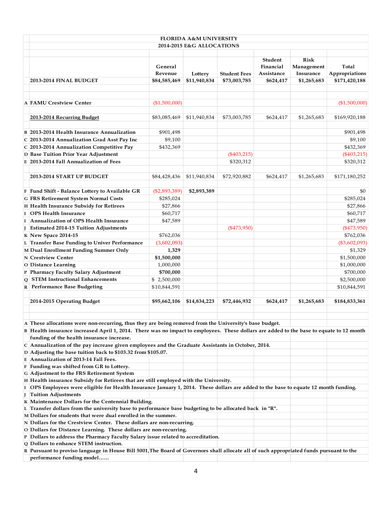|                                                                                                                                                                                                                                                                                                |                                    | <b>FLORIDA A&amp;M UNIVERSITY</b><br><b>2014-2015 E&amp;G ALLOCATIONS</b> |                                     |                                                 |                                                       |                                          |
|------------------------------------------------------------------------------------------------------------------------------------------------------------------------------------------------------------------------------------------------------------------------------------------------|------------------------------------|---------------------------------------------------------------------------|-------------------------------------|-------------------------------------------------|-------------------------------------------------------|------------------------------------------|
| <b>2013-2014 FINAL BUDGET</b>                                                                                                                                                                                                                                                                  | General<br>Revenue<br>\$84,585,469 | Lottery<br>\$11,940,834                                                   | <b>Student Fees</b><br>\$73,003,785 | Student<br>Financial<br>Assistance<br>\$624,417 | <b>Risk</b><br>Management<br>Insurance<br>\$1,265,683 | Total<br>Appropriations<br>\$171,420,188 |
| A FAMU Crestview Center                                                                                                                                                                                                                                                                        | (\$1,500,000)                      |                                                                           |                                     |                                                 |                                                       | (\$1,500,000)                            |
|                                                                                                                                                                                                                                                                                                |                                    |                                                                           |                                     |                                                 |                                                       |                                          |
| 2013-2014 Recurring Budget                                                                                                                                                                                                                                                                     | \$83,085,469                       | \$11,940,834                                                              | \$73,003,785                        | \$624,417                                       | \$1,265,683                                           | \$169,920,188                            |
| B 2013-2014 Health Insurance Annualization                                                                                                                                                                                                                                                     | \$901,498                          |                                                                           |                                     |                                                 |                                                       | \$901,498                                |
| C 2013-2014 Annualization Grad Asst Pay Inc                                                                                                                                                                                                                                                    | \$9,100                            |                                                                           |                                     |                                                 |                                                       | \$9,100                                  |
| C 2013-2014 Annualization Competitive Pay                                                                                                                                                                                                                                                      | \$432,369                          |                                                                           |                                     |                                                 |                                                       | \$432,369                                |
| D Base Tuition Prior Year Adjustment                                                                                                                                                                                                                                                           |                                    |                                                                           | $(\$403,215)$                       |                                                 |                                                       | $(*403,215)$                             |
| E 2013-2014 Fall Annualization of Fees                                                                                                                                                                                                                                                         |                                    |                                                                           | \$320,312                           |                                                 |                                                       | \$320,312                                |
| 2013-2014 START UP BUDGET                                                                                                                                                                                                                                                                      | \$84,428,436                       | \$11,940,834                                                              | \$72,920,882                        | \$624,417                                       | \$1,265,683                                           | \$171,180,252                            |
| F Fund Shift - Balance Lottery to Available GR                                                                                                                                                                                                                                                 | $(\$2,893,389)$                    | \$2,893,389                                                               |                                     |                                                 |                                                       | \$0                                      |
| G FRS Retirement System Normal Costs                                                                                                                                                                                                                                                           | \$285,024                          |                                                                           |                                     |                                                 |                                                       | \$285,024                                |
| H Health Insurance Subsidy for Retirees                                                                                                                                                                                                                                                        | \$27,866                           |                                                                           |                                     |                                                 |                                                       | \$27,866                                 |
| I OPS Health Insurance                                                                                                                                                                                                                                                                         | \$60,717                           |                                                                           |                                     |                                                 |                                                       | \$60,717                                 |
| I Annualization of OPS Health Insurance                                                                                                                                                                                                                                                        | \$47,589                           |                                                                           |                                     |                                                 |                                                       | \$47,589                                 |
| J Estimated 2014-15 Tuition Adjustments                                                                                                                                                                                                                                                        |                                    |                                                                           | $(*473,950)$                        |                                                 |                                                       | $(*473,950)$                             |
| K New Space 2014-15                                                                                                                                                                                                                                                                            | \$762,036                          |                                                                           |                                     |                                                 |                                                       | \$762,036                                |
| L Transfer Base Funding to Univer Performance                                                                                                                                                                                                                                                  | (3,602,093)                        |                                                                           |                                     |                                                 |                                                       | $(\$3,602,093)$                          |
| M Dual Enrollment Funding Summer Only                                                                                                                                                                                                                                                          | 1,329                              |                                                                           |                                     |                                                 |                                                       | \$1,329                                  |
| N Crestview Center                                                                                                                                                                                                                                                                             | \$1,500,000                        |                                                                           |                                     |                                                 |                                                       | \$1,500,000                              |
| O Distance Learning                                                                                                                                                                                                                                                                            | 1,000,000                          |                                                                           |                                     |                                                 |                                                       | \$1,000,000                              |
| P Pharmacy Faculty Salary Adjustment                                                                                                                                                                                                                                                           | \$700,000                          |                                                                           |                                     |                                                 |                                                       | \$700,000                                |
| Q STEM Instructional Enhancements                                                                                                                                                                                                                                                              | \$2,500,000                        |                                                                           |                                     |                                                 |                                                       | \$2,500,000                              |
| R Performance Base Budgeting                                                                                                                                                                                                                                                                   | \$10,844,591                       |                                                                           |                                     |                                                 |                                                       | \$10,844,591                             |
| 2014-2015 Operating Budget                                                                                                                                                                                                                                                                     | \$95,662,106                       | \$14,834,223                                                              | \$72,446,932                        | \$624,417                                       | \$1,265,683                                           | \$184,833,361                            |
| A These allocations were non-recurring, thus they are being removed from the University's base budget.<br>B Health insurance increased April 1, 2014. There was no impact to employees. These dollars are added to the base to equate to 12 month<br>funding of the health insurance increase. |                                    |                                                                           |                                     |                                                 |                                                       |                                          |
| C Annualization of the pay increase given employees and the Graduate Assistants in October, 2014.                                                                                                                                                                                              |                                    |                                                                           |                                     |                                                 |                                                       |                                          |
| D Adjusting the base tuition back to \$103.32 from \$105.07.<br>E Annualization of 2013-14 Fall Fees.                                                                                                                                                                                          |                                    |                                                                           |                                     |                                                 |                                                       |                                          |
| F Funding was shifted from GR to Lottery.                                                                                                                                                                                                                                                      |                                    |                                                                           |                                     |                                                 |                                                       |                                          |
| G Adjustment to the FRS Retirement System                                                                                                                                                                                                                                                      |                                    |                                                                           |                                     |                                                 |                                                       |                                          |
| H Health insurance Subsidy for Retirees that are still employed with the University.                                                                                                                                                                                                           |                                    |                                                                           |                                     |                                                 |                                                       |                                          |
| I OPS Employees were eligible for Health Insurance January 1, 2014. These dollars are added to the base to equate 12 month funding.                                                                                                                                                            |                                    |                                                                           |                                     |                                                 |                                                       |                                          |
| J Tuition Adjustments                                                                                                                                                                                                                                                                          |                                    |                                                                           |                                     |                                                 |                                                       |                                          |
| K Maintenance Dollars for the Centennial Building.                                                                                                                                                                                                                                             |                                    |                                                                           |                                     |                                                 |                                                       |                                          |
| L Transfer dollars from the university base to performance base budgeting to be allocated back in "R".                                                                                                                                                                                         |                                    |                                                                           |                                     |                                                 |                                                       |                                          |
| M Dollars for students that were dual enrolled in the summer.                                                                                                                                                                                                                                  |                                    |                                                                           |                                     |                                                 |                                                       |                                          |
| N Dollars for the Crestview Center. These dollars are non-recurring.                                                                                                                                                                                                                           |                                    |                                                                           |                                     |                                                 |                                                       |                                          |
| O Dollars for Distance Learning. These dollars are non-recurring.                                                                                                                                                                                                                              |                                    |                                                                           |                                     |                                                 |                                                       |                                          |
| P Dollars to address the Pharmacy Faculty Salary issue related to accreditation.                                                                                                                                                                                                               |                                    |                                                                           |                                     |                                                 |                                                       |                                          |
| Q Dollars to enhance STEM instruction.<br>R Pursuant to proviso language in House Bill 5001, The Board of Governors shall allocate all of such appropriated funds pursuant to the                                                                                                              |                                    |                                                                           |                                     |                                                 |                                                       |                                          |
| performance funding model                                                                                                                                                                                                                                                                      |                                    |                                                                           |                                     |                                                 |                                                       |                                          |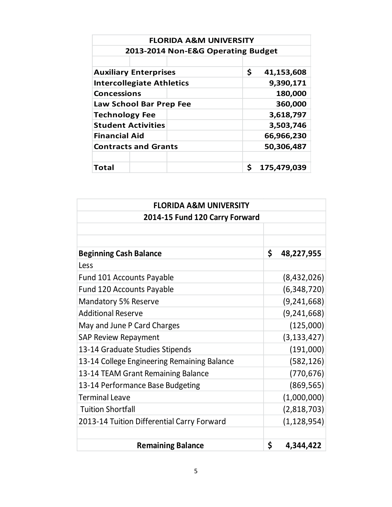| <b>FLORIDA A&amp;M UNIVERSITY</b>  |                  |  |  |  |  |  |  |  |  |  |
|------------------------------------|------------------|--|--|--|--|--|--|--|--|--|
| 2013-2014 Non-E&G Operating Budget |                  |  |  |  |  |  |  |  |  |  |
|                                    |                  |  |  |  |  |  |  |  |  |  |
| <b>Auxiliary Enterprises</b>       | \$<br>41,153,608 |  |  |  |  |  |  |  |  |  |
| <b>Intercollegiate Athletics</b>   | 9,390,171        |  |  |  |  |  |  |  |  |  |
| <b>Concessions</b>                 | 180,000          |  |  |  |  |  |  |  |  |  |
| Law School Bar Prep Fee            | 360,000          |  |  |  |  |  |  |  |  |  |
| <b>Technology Fee</b>              | 3,618,797        |  |  |  |  |  |  |  |  |  |
| <b>Student Activities</b>          | 3,503,746        |  |  |  |  |  |  |  |  |  |
| <b>Financial Aid</b>               | 66,966,230       |  |  |  |  |  |  |  |  |  |
| <b>Contracts and Grants</b>        | 50,306,487       |  |  |  |  |  |  |  |  |  |
|                                    |                  |  |  |  |  |  |  |  |  |  |
| Total                              | Ś<br>175,479,039 |  |  |  |  |  |  |  |  |  |

| <b>FLORIDA A&amp;M UNIVERSITY</b>           |                  |  |  |  |  |  |  |
|---------------------------------------------|------------------|--|--|--|--|--|--|
| 2014-15 Fund 120 Carry Forward              |                  |  |  |  |  |  |  |
|                                             |                  |  |  |  |  |  |  |
|                                             |                  |  |  |  |  |  |  |
| <b>Beginning Cash Balance</b>               | \$<br>48,227,955 |  |  |  |  |  |  |
| Less                                        |                  |  |  |  |  |  |  |
| Fund 101 Accounts Payable                   | (8,432,026)      |  |  |  |  |  |  |
| <b>Fund 120 Accounts Payable</b>            | (6,348,720)      |  |  |  |  |  |  |
| <b>Mandatory 5% Reserve</b>                 | (9, 241, 668)    |  |  |  |  |  |  |
| <b>Additional Reserve</b>                   | (9, 241, 668)    |  |  |  |  |  |  |
| May and June P Card Charges                 | (125,000)        |  |  |  |  |  |  |
| <b>SAP Review Repayment</b>                 | (3, 133, 427)    |  |  |  |  |  |  |
| 13-14 Graduate Studies Stipends             | (191,000)        |  |  |  |  |  |  |
| 13-14 College Engineering Remaining Balance | (582, 126)       |  |  |  |  |  |  |
| 13-14 TEAM Grant Remaining Balance          | (770, 676)       |  |  |  |  |  |  |
| 13-14 Performance Base Budgeting            | (869, 565)       |  |  |  |  |  |  |
| <b>Terminal Leave</b>                       | (1,000,000)      |  |  |  |  |  |  |
| <b>Tuition Shortfall</b>                    | (2,818,703)      |  |  |  |  |  |  |
| 2013-14 Tuition Differential Carry Forward  | (1, 128, 954)    |  |  |  |  |  |  |
|                                             |                  |  |  |  |  |  |  |
| <b>Remaining Balance</b>                    | \$<br>4,344,422  |  |  |  |  |  |  |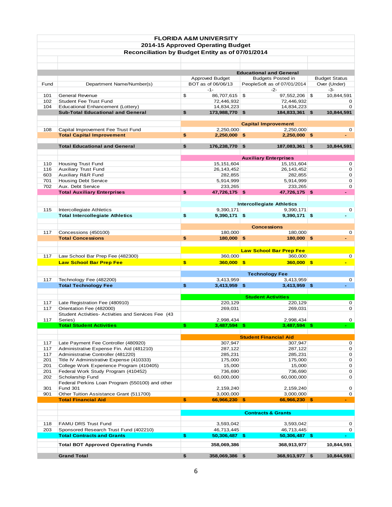|      |                                                                        |     | <b>FLORIDA A&amp;M UNIVERSITY</b> |                              |                                                            |                      |
|------|------------------------------------------------------------------------|-----|-----------------------------------|------------------------------|------------------------------------------------------------|----------------------|
|      |                                                                        |     | 2014-15 Approved Operating Budget |                              |                                                            |                      |
|      | Reconciliation by Budget Entity as of 07/01/2014                       |     |                                   |                              |                                                            |                      |
|      |                                                                        |     |                                   |                              |                                                            |                      |
|      |                                                                        |     |                                   |                              |                                                            |                      |
|      |                                                                        |     | Approved Budget                   |                              | <b>Educational and General</b><br><b>Budgets Posted in</b> | <b>Budget Status</b> |
| Fund | Department Name/Number(s)                                              |     | BOT as of 06/06/13                |                              | PeopleSoft as of 07/01/2014                                | Over (Under)         |
|      |                                                                        |     | $-1-$                             |                              | $-2-$                                                      | $-3-$                |
| 101  | General Revenue                                                        | \$  | 86,707,615 \$                     |                              | 97,552,206 \$                                              | 10,844,591           |
| 102  | <b>Student Fee Trust Fund</b>                                          |     | 72,446,932                        |                              | 72,446,932                                                 | 0                    |
| 104  | Educational Enhancement (Lottery)                                      |     | 14,834,223                        |                              | 14,834,223                                                 | 0                    |
|      | <b>Sub-Total Educational and General</b>                               | \$  | 173,988,770 \$                    |                              | 184,833,361                                                | \$<br>10,844,591     |
|      |                                                                        |     |                                   |                              |                                                            |                      |
|      |                                                                        |     |                                   |                              | <b>Capital Improvement</b>                                 |                      |
| 108  | Capital Improvement Fee Trust Fund<br><b>Total Capital Improvement</b> | \$  | 2,250,000<br>2,250,000 \$         |                              | 2,250,000<br>$2,250,000$ \$                                | 0<br>$\blacksquare$  |
|      |                                                                        |     |                                   |                              |                                                            |                      |
|      | <b>Total Educational and General</b>                                   | \$  | 176,238,770                       | \$                           | 187,083,361                                                | \$<br>10,844,591     |
|      |                                                                        |     |                                   |                              |                                                            |                      |
|      |                                                                        |     |                                   |                              | <b>Auxiliary Enterprises</b>                               |                      |
| 110  | <b>Housing Trust Fund</b>                                              |     | 15, 151, 604                      |                              | 15, 151, 604                                               | 0                    |
| 116  | <b>Auxiliary Trust Fund</b>                                            |     | 26, 143, 452                      |                              | 26, 143, 452                                               | 0                    |
| 603  | <b>Auxiliary R&amp;R Fund</b>                                          |     | 282,855                           |                              | 282,855                                                    | 0                    |
| 701  | <b>Housing Debt Service</b>                                            |     | 5,914,999                         |                              | 5,914,999                                                  | 0                    |
| 702  | Aux. Debt Service                                                      |     | 233,265                           |                              | 233,265                                                    | 0                    |
|      | <b>Total Auxiliary Enterprises</b>                                     | \$  | 47,726,175 \$                     |                              | 47,726,175 \$                                              | $\blacksquare$       |
|      |                                                                        |     |                                   |                              |                                                            |                      |
|      |                                                                        |     |                                   |                              | <b>Intercollegiate Athletics</b>                           |                      |
| 115  | Intercollegiate Athletics                                              |     | 9,390,171                         |                              | 9,390,171                                                  | 0                    |
|      | <b>Total Intercollegiate Athletics</b>                                 | \$  | 9,390,171 \$                      |                              | 9,390,171 \$                                               |                      |
|      |                                                                        |     |                                   |                              |                                                            |                      |
| 117  | Concessions (450100)                                                   |     | 180,000                           | <b>Concessions</b>           | 180,000                                                    | 0                    |
|      | <b>Total Concessions</b>                                               | \$  | 180,000 \$                        |                              | 180,000 \$                                                 |                      |
|      |                                                                        |     |                                   |                              |                                                            |                      |
|      |                                                                        |     |                                   |                              | <b>Law School Bar Prep Fee</b>                             |                      |
| 117  | Law School Bar Prep Fee (482300)                                       |     | 360,000                           |                              | 360,000                                                    | 0                    |
|      | <b>Law School Bar Prep Fee</b>                                         | \$  | $360,000$ \$                      |                              | $360,000$ \$                                               |                      |
|      |                                                                        |     |                                   |                              |                                                            |                      |
|      |                                                                        |     |                                   | <b>Technology Fee</b>        |                                                            |                      |
| 117  | Technology Fee (482200)                                                |     | 3,413,959                         |                              | 3,413,959                                                  | 0                    |
|      | <b>Total Technology Fee</b>                                            | \$  | $3,413,959$ \$                    |                              | 3,413,959 \$                                               | $\mathcal{L}^{\pm}$  |
|      |                                                                        |     |                                   |                              |                                                            |                      |
|      |                                                                        |     |                                   | <b>Student Activities</b>    |                                                            |                      |
| 117  | Late Registration Fee (480910)                                         |     | 220,129                           |                              | 220,129                                                    | 0                    |
| 117  | Orientation Fee (482000)                                               |     | 269,031                           |                              | 269,031                                                    | 0                    |
|      | Student Activities-Activities and Services Fee (43                     |     |                                   |                              |                                                            |                      |
| 117  | Series)<br><b>Total Student Activities</b>                             | \$. | 2,998,434<br>$3,487,594$ \$       |                              | 2,998,434<br>$3,487,594$ \$                                | 0                    |
|      |                                                                        |     |                                   |                              |                                                            |                      |
|      |                                                                        |     |                                   | <b>Student Financial Aid</b> |                                                            |                      |
| 117  | Late Payment Fee Controller (480920)                                   |     | 307,947                           |                              | 307,947                                                    | 0                    |
| 117  | Administrative Expense Fin. Aid (481210)                               |     | 287,122                           |                              | 287,122                                                    | 0                    |
| 117  | Administrative Controller (481220)                                     |     | 285,231                           |                              | 285,231                                                    | 0                    |
| 201  | Title IV Administrative Expense (410333)                               |     | 175,000                           |                              | 175,000                                                    | 0                    |
| 201  | College Work Experience Program (410405)                               |     | 15,000                            |                              | 15,000                                                     | 0                    |
| 201  | Federal Work Study Program (410452)                                    |     | 736,690                           |                              | 736,690                                                    | 0                    |
| 202  | Scholarship Fund                                                       |     | 60,000,000                        |                              | 60,000,000                                                 | 0                    |
|      | Federal Perkins Loan Program (550100) and other                        |     |                                   |                              |                                                            |                      |
| 301  | <b>Fund 301</b>                                                        |     | 2,159,240                         |                              | 2,159,240                                                  | 0                    |
| 901  | Other Tuition Assistance Grant (511700)                                |     | 3,000,000                         |                              | 3,000,000                                                  | 0                    |
|      | <b>Total Financial Aid</b>                                             | \$  | 66,966,230 \$                     |                              | 66,966,230 \$                                              |                      |
|      |                                                                        |     |                                   |                              |                                                            |                      |
|      |                                                                        |     |                                   |                              | <b>Contracts &amp; Grants</b>                              |                      |
| 118  | FAMU DRS Trust Fund                                                    |     | 3,593,042                         |                              | 3,593,042                                                  |                      |
| 203  | Sponsored Research Trust Fund (402210)                                 |     | 46,713,445                        |                              | 46,713,445                                                 | 0<br>0               |
|      | <b>Total Contracts and Grants</b>                                      | \$  | 50,306,487 \$                     |                              | 50,306,487 \$                                              |                      |
|      |                                                                        |     |                                   |                              |                                                            |                      |
|      | <b>Total BOT Approved Operating Funds</b>                              |     | 358,069,386                       |                              | 368,913,977                                                | 10,844,591           |
|      | <b>Grand Total</b>                                                     | \$  | 358,069,386 \$                    |                              | 368,913,977 \$                                             | 10,844,591           |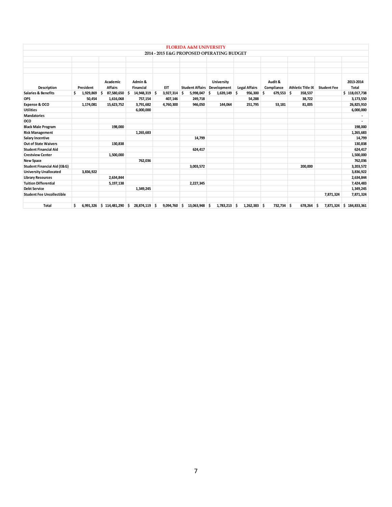|                                        |           |                            |                             |    |                | <b>FLORIDA A&amp;M UNIVERSITY</b> |     |                                           |    |                      |   |                       |   |                          |    |                    |                           |
|----------------------------------------|-----------|----------------------------|-----------------------------|----|----------------|-----------------------------------|-----|-------------------------------------------|----|----------------------|---|-----------------------|---|--------------------------|----|--------------------|---------------------------|
|                                        |           |                            |                             |    |                |                                   |     | 2014 - 2015 E&G PROPOSED OPERATING BUDGET |    |                      |   |                       |   |                          |    |                    |                           |
|                                        |           |                            |                             |    |                |                                   |     |                                           |    |                      |   |                       |   |                          |    |                    |                           |
|                                        |           |                            |                             |    |                |                                   |     |                                           |    |                      |   |                       |   |                          |    |                    |                           |
|                                        |           |                            |                             |    |                |                                   |     |                                           |    |                      |   |                       |   |                          |    |                    |                           |
| Description                            | President | Academic<br><b>Affairs</b> | Admin &<br><b>Financial</b> |    | EIT            | <b>Student Affairs</b>            |     | University<br>Development                 |    | <b>Legal Affairs</b> |   | Audit &<br>Compliance |   | <b>Athletic Title IX</b> |    | <b>Student Fee</b> | 2013-2014<br><b>Total</b> |
| <b>Salaries &amp; Benefits</b>         | 1.929.869 | 87,580,650<br>Ś.           | 14,948,319<br>Ś             | -S | $3.927.314$ \$ | 5,998,047                         | Ŝ   | $1,639,149$ \$                            |    | 956,300              | Ŝ | 679,553               | Ŝ | 358,537                  |    |                    | \$118,017,738             |
| <b>OPS</b>                             | 50,454    | 1,616,068                  | 757,154                     |    | 407,146        | 249,718                           |     |                                           |    | 54,288               |   |                       |   | 38,722                   |    |                    | 3,173,550                 |
| Expense & OCO                          | 1,174,081 | 15,623,752                 | 3,791,682                   |    | 4,760,300      | 946,050                           |     | 144,064                                   |    | 251,795              |   | 53,181                |   | 81,005                   |    |                    | 26,825,910                |
| <b>Utilities</b>                       |           |                            | 6,000,000                   |    |                |                                   |     |                                           |    |                      |   |                       |   |                          |    |                    | 6,000,000                 |
| <b>Mandatories</b>                     |           |                            |                             |    |                |                                   |     |                                           |    |                      |   |                       |   |                          |    |                    |                           |
| oco                                    |           |                            |                             |    |                |                                   |     |                                           |    |                      |   |                       |   |                          |    |                    | ٠                         |
| <b>Black Male Program</b>              |           | 198,000                    |                             |    |                |                                   |     |                                           |    |                      |   |                       |   |                          |    |                    | 198,000                   |
| <b>Risk Management</b>                 |           |                            | 1,265,683                   |    |                |                                   |     |                                           |    |                      |   |                       |   |                          |    |                    | 1,265,683                 |
| <b>Salary Incentive</b>                |           |                            |                             |    |                | 14,799                            |     |                                           |    |                      |   |                       |   |                          |    |                    | 14,799                    |
| <b>Out of State Waivers</b>            |           | 130,838                    |                             |    |                |                                   |     |                                           |    |                      |   |                       |   |                          |    |                    | 130,838                   |
| <b>Student Financial Aid</b>           |           |                            |                             |    |                | 624,417                           |     |                                           |    |                      |   |                       |   |                          |    |                    | 624,417                   |
| <b>Crestview Center</b>                |           | 1,500,000                  |                             |    |                |                                   |     |                                           |    |                      |   |                       |   |                          |    |                    | 1,500,000                 |
| <b>New Space</b>                       |           |                            | 762.036                     |    |                |                                   |     |                                           |    |                      |   |                       |   |                          |    |                    | 762,036                   |
| <b>Student Financial Aid (E&amp;G)</b> |           |                            |                             |    |                | 3,003,572                         |     |                                           |    |                      |   |                       |   | 200,000                  |    |                    | 3,203,572                 |
| <b>University Unallocated</b>          | 3,836,922 |                            |                             |    |                |                                   |     |                                           |    |                      |   |                       |   |                          |    |                    | 3,836,922                 |
| <b>Library Resources</b>               |           | 2,634,844                  |                             |    |                |                                   |     |                                           |    |                      |   |                       |   |                          |    |                    | 2,634,844                 |
| <b>Tuition Differential</b>            |           | 5,197,138                  |                             |    |                | 2,227,345                         |     |                                           |    |                      |   |                       |   |                          |    |                    | 7,424,483                 |
| <b>Debt Service</b>                    |           |                            | 1,349,245                   |    |                |                                   |     |                                           |    |                      |   |                       |   |                          |    |                    | 1,349,245                 |
| <b>Student Fee Uncollectible</b>       |           |                            |                             |    |                |                                   |     |                                           |    |                      |   |                       |   |                          |    | 7,871,324          | 7,871,324                 |
| Total                                  | \$        | 6,991,326 \$114,481,290    | 28,874,119<br>\$            | -S | 9,094,760 \$   | 13,063,948                        | \$. | 1,783,213                                 | -S | $1,262,383$ \$       |   | 732,734               | Ŝ | 678,264                  | .s |                    | 7,871,324 \$ 184,833,361  |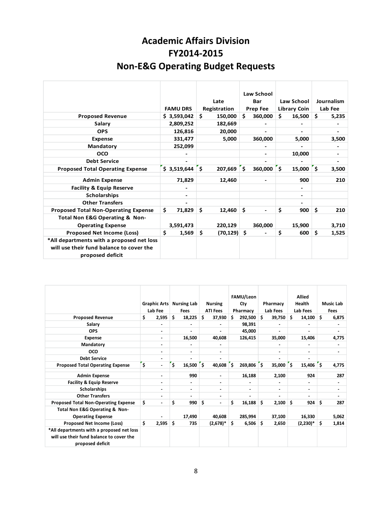## **Academic Affairs Division FY2014-2015 Non-E&G Operating Budget Requests**

|                                             |                 |                 | Law School                     |                             |             |
|---------------------------------------------|-----------------|-----------------|--------------------------------|-----------------------------|-------------|
|                                             |                 | Late            | Bar                            | <b>Law School</b>           | Journalism  |
|                                             | <b>FAMU DRS</b> | Registration    | <b>Prep Fee</b>                | Library Coin                | Lab Fee     |
| <b>Proposed Revenue</b>                     | \$3,593,042     | Ś.<br>150,000   | Ś.<br>360,000                  | Ś.<br>16,500                | Ś.<br>5,235 |
| Salary                                      | 2,809,252       | 182,669         |                                |                             |             |
| <b>OPS</b>                                  | 126,816         | 20,000          |                                |                             |             |
| <b>Expense</b>                              | 331,477         | 5,000           | 360,000                        | 5,000                       | 3,500       |
| <b>Mandatory</b>                            | 252,099         |                 |                                |                             |             |
| OCO                                         |                 |                 |                                | 10,000                      | -           |
| <b>Debt Service</b>                         |                 |                 |                                |                             |             |
| <b>Proposed Total Operating Expense</b>     | \$3,519,644     | ّذ '<br>207,669 | `\$<br>360,000                 | ّذخ<br>15,000 $\frac{1}{5}$ | 3,500       |
| <b>Admin Expense</b>                        | 71,829          | 12,460          |                                | 900                         | 210         |
| <b>Facility &amp; Equip Reserve</b>         |                 |                 |                                | -                           |             |
| <b>Scholarships</b>                         |                 |                 |                                | ٠                           |             |
| <b>Other Transfers</b>                      |                 |                 |                                |                             |             |
| <b>Proposed Total Non-Operating Expense</b> | Ś.<br>71,829    | \$<br>12,460    | \$<br>$\overline{\phantom{a}}$ | \$<br>900                   | \$<br>210   |
| Total Non E&G Operating & Non-              |                 |                 |                                |                             |             |
| <b>Operating Expense</b>                    | 3,591,473       | 220,129         | 360,000                        | 15,900                      | 3,710       |
| <b>Proposed Net Income (Loss)</b>           | \$<br>1,569     | \$<br>(70, 129) | \$                             | \$<br>600                   | \$<br>1,525 |
| *All departments with a proposed net loss   |                 |                 |                                |                             |             |
| will use their fund balance to cover the    |                 |                 |                                |                             |             |
| proposed deficit                            |                 |                 |                                |                             |             |
|                                             |                 |                 |                                |                             |             |

|                                                                                                           | Graphic Arts<br>Lab Fee      | <b>Nursing Lab</b><br>Fees | <b>Nursing</b><br><b>ATI Fees</b> | FAMU/Leon<br>Cty<br>Pharmacy | <b>Pharmacy</b><br>Lab Fees | <b>Allied</b><br>Health<br>Lab Fees | <b>Music Lab</b><br><b>Fees</b> |
|-----------------------------------------------------------------------------------------------------------|------------------------------|----------------------------|-----------------------------------|------------------------------|-----------------------------|-------------------------------------|---------------------------------|
| <b>Proposed Revenue</b>                                                                                   | \$<br>2,595                  | \$<br>18,225               | \$<br>37,930                      | 292,500<br>S                 | 39,750<br>Ŝ.                | \$<br>14,100                        | \$<br>6,875                     |
| Salary                                                                                                    |                              |                            |                                   | 98,391                       |                             |                                     |                                 |
| <b>OPS</b>                                                                                                | $\overline{\phantom{0}}$     | $\blacksquare$             |                                   | 45,000                       | $\blacksquare$              |                                     |                                 |
| <b>Expense</b>                                                                                            | $\overline{\phantom{0}}$     | 16,500                     | 40,608                            | 126,415                      | 35,000                      | 15,406                              | 4,775                           |
| Mandatory                                                                                                 | $\overline{\phantom{0}}$     | $\blacksquare$             | $\blacksquare$                    |                              | ۰                           |                                     |                                 |
| OCO                                                                                                       | $\overline{\phantom{0}}$     | $\blacksquare$             | $\overline{\phantom{0}}$          |                              | $\blacksquare$              | $\overline{\phantom{0}}$            | -                               |
| <b>Debt Service</b>                                                                                       |                              | $\blacksquare$             |                                   |                              | $\blacksquare$              |                                     |                                 |
| <b>Proposed Total Operating Expense</b>                                                                   | $\ddot{\bm{\varsigma}}$<br>- | $\mathsf{s}$<br>16,500     | ٔ ۶<br>40,608                     | $269,806$ \$<br>'s           | 35,000                      | $15,406$ \$<br>\$.                  | 4,775                           |
| <b>Admin Expense</b>                                                                                      |                              | 990                        | ٠                                 | 16,188                       | 2,100                       | 924                                 | 287                             |
| <b>Facility &amp; Equip Reserve</b>                                                                       | -                            | $\blacksquare$             | $\blacksquare$                    |                              |                             |                                     |                                 |
| Scholarships                                                                                              | $\overline{\phantom{0}}$     | $\overline{\phantom{0}}$   | $\overline{\phantom{0}}$          |                              | $\blacksquare$              | ۰                                   |                                 |
| <b>Other Transfers</b>                                                                                    | -                            | ٠                          | $\blacksquare$                    |                              | ٠                           | ۰                                   |                                 |
| <b>Proposed Total Non-Operating Expense</b>                                                               | \$<br>$\blacksquare$         | \$<br>990                  | \$<br>$\blacksquare$              | \$<br>16,188                 | \$<br>2,100                 | \$<br>924                           | \$<br>287                       |
| Total Non E&G Operating & Non-<br><b>Operating Expense</b>                                                |                              | 17,490                     | 40,608                            | 285,994                      | 37,100                      | 16,330                              | 5,062                           |
| Proposed Net Income (Loss)                                                                                | \$<br>2,595                  | \$<br>735                  | $(2,678)^*$                       | \$<br>$6,506$ \$             | 2,650                       | $(2,230)^*$                         | \$<br>1,814                     |
| *All departments with a proposed net loss<br>will use their fund balance to cover the<br>proposed deficit |                              |                            |                                   |                              |                             |                                     |                                 |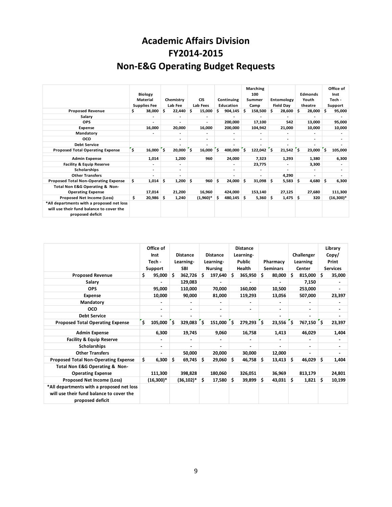## **Academic Affairs Division FY2014-2015 Non-E&G Operating Budget Requests**

|                                                                                                           | <b>Biology</b><br><b>Material</b><br><b>Supplies Fee</b> |     | Chemistry<br>Lab Fee     |     | <b>CIS</b><br>Lab Fees   |    | Continuing<br>Education |     | <b>Marching</b><br>100<br>Summer<br>Camp |    | Entomology<br><b>Field Day</b> |     | <b>Edmonds</b><br>Youth<br>theatre |     | Office of<br>Inst<br>Tech -<br>Support |
|-----------------------------------------------------------------------------------------------------------|----------------------------------------------------------|-----|--------------------------|-----|--------------------------|----|-------------------------|-----|------------------------------------------|----|--------------------------------|-----|------------------------------------|-----|----------------------------------------|
| <b>Proposed Revenue</b>                                                                                   | \$<br>38,000                                             | .s  | 22,440                   | \$. | 15,000                   |    | 904,145                 | s   | 158,500                                  | s  | 28,600                         | S   | 28,000                             | s   | 95,000                                 |
| Salary                                                                                                    | ٠                                                        |     |                          |     | ٠                        |    |                         |     |                                          |    |                                |     |                                    |     |                                        |
| <b>OPS</b>                                                                                                | ٠                                                        |     |                          |     | $\overline{a}$           |    | 200,000                 |     | 17,100                                   |    | 542                            |     | 13,000                             |     | 95,000                                 |
| <b>Expense</b>                                                                                            | 16,000                                                   |     | 20,000                   |     | 16,000                   |    | 200,000                 |     | 104,942                                  |    | 21,000                         |     | 10,000                             |     | 10,000                                 |
| Mandatory                                                                                                 |                                                          |     |                          |     | ۰                        |    |                         |     |                                          |    | ۰                              |     |                                    |     |                                        |
| <b>OCO</b>                                                                                                |                                                          |     | $\overline{\phantom{a}}$ |     | $\overline{\phantom{0}}$ |    |                         |     | ٠                                        |    | $\blacksquare$                 |     | $\overline{a}$                     |     |                                        |
| <b>Debt Service</b>                                                                                       |                                                          |     |                          |     |                          |    |                         |     |                                          |    | ۰                              |     |                                    |     |                                        |
| <b>Proposed Total Operating Expense</b>                                                                   | \$<br>16,000                                             | ľś. | 20,000                   | Ś   | 16,000                   | \$ | 400,000                 | Ś   | 122,042                                  | ۰s | 21,542                         | ۰\$ | 23,000                             | \$  | 105,000                                |
| <b>Admin Expense</b>                                                                                      | 1,014                                                    |     | 1,200                    |     | 960                      |    | 24,000                  |     | 7,323                                    |    | 1,293                          |     | 1,380                              |     | 6,300                                  |
| <b>Facility &amp; Equip Reserve</b>                                                                       |                                                          |     |                          |     |                          |    |                         |     | 23,775                                   |    |                                |     | 3,300                              |     |                                        |
| <b>Scholarships</b>                                                                                       | ٠                                                        |     | $\overline{a}$           |     |                          |    |                         |     | ٠                                        |    |                                |     | $\overline{a}$                     |     |                                        |
| <b>Other Transfers</b>                                                                                    |                                                          |     |                          |     |                          |    |                         |     |                                          |    | 4,290                          |     |                                    |     |                                        |
| <b>Proposed Total Non-Operating Expense</b>                                                               | \$<br>1,014                                              | \$. | 1,200                    | \$  | 960                      | Ŝ  | 24,000                  | \$. | 31,098                                   | \$ | 5,583                          | \$  | 4,680                              | \$. | 6,300                                  |
| Total Non E&G Operating & Non-<br><b>Operating Expense</b>                                                | 17,014                                                   |     | 21,200                   |     | 16,960                   |    | 424,000                 |     | 153,140                                  |    | 27,125                         |     | 27,680                             |     | 111,300                                |
| Proposed Net Income (Loss)                                                                                | \$<br>$20,986$ \$                                        |     | 1,240                    |     | $(1,960)*$               | s  | 480,145                 | \$  | 5,360                                    | \$ | 1,475                          | -\$ | 320                                |     | $(16,300)*$                            |
| *All departments with a proposed net loss<br>will use their fund balance to cover the<br>proposed deficit |                                                          |     |                          |     |                          |    |                         |     |                                          |    |                                |     |                                    |     |                                        |

|                                                                                                           | Office of<br>Inst<br>Tech -<br>Support |     | <b>Distance</b><br>Learning-<br><b>SBI</b> |     | <b>Distance</b><br>Learning-<br><b>Nursing</b> |    | <b>Distance</b><br>Learning-<br><b>Public</b><br><b>Health</b> |    | Pharmacy<br><b>Seminars</b> |    | Challenger<br>Learning<br>Center | Library<br>Copy/<br>Print<br><b>Services</b> |        |
|-----------------------------------------------------------------------------------------------------------|----------------------------------------|-----|--------------------------------------------|-----|------------------------------------------------|----|----------------------------------------------------------------|----|-----------------------------|----|----------------------------------|----------------------------------------------|--------|
| <b>Proposed Revenue</b>                                                                                   | \$<br>95,000                           | S.  | 362,726                                    | s   | 197,640                                        | Ŝ  | 365,950                                                        | Ś. | 80,000                      | s  | 815,000                          | Ŝ.                                           | 35,000 |
| Salary                                                                                                    |                                        |     | 129,083                                    |     |                                                |    |                                                                |    | $\blacksquare$              |    | 7,150                            |                                              |        |
| <b>OPS</b>                                                                                                | 95,000                                 |     | 110,000                                    |     | 70,000                                         |    | 160.000                                                        |    | 10,500                      |    | 253,000                          |                                              |        |
| <b>Expense</b>                                                                                            | 10,000                                 |     | 90,000                                     |     | 81,000                                         |    | 119,293                                                        |    | 13,056                      |    | 507,000                          |                                              | 23,397 |
| Mandatory                                                                                                 |                                        |     |                                            |     |                                                |    |                                                                |    |                             |    |                                  |                                              |        |
| oco                                                                                                       | ۰.                                     |     | ٠                                          |     |                                                |    | ۰.                                                             |    | ۰.                          |    |                                  |                                              |        |
| <b>Debt Service</b>                                                                                       |                                        |     | ۰                                          |     |                                                |    |                                                                |    |                             |    |                                  |                                              |        |
| <b>Proposed Total Operating Expense</b>                                                                   | \$<br>105,000                          | \$. | 329,083                                    | \$. | 151,000                                        | Ŝ. | $279,293$ \$                                                   |    | 23,556                      | \$ | 767,150                          | ۰s                                           | 23,397 |
| <b>Admin Expense</b>                                                                                      | 6,300                                  |     | 19,745                                     |     | 9,060                                          |    | 16,758                                                         |    | 1,413                       |    | 46,029                           |                                              | 1,404  |
| <b>Facility &amp; Equip Reserve</b>                                                                       |                                        |     | ۰                                          |     |                                                |    |                                                                |    |                             |    |                                  |                                              |        |
| Scholarships                                                                                              | ۰.                                     |     |                                            |     |                                                |    |                                                                |    |                             |    |                                  |                                              |        |
| <b>Other Transfers</b>                                                                                    |                                        |     | 50,000                                     |     | 20,000                                         |    | 30.000                                                         |    | 12,000                      |    |                                  |                                              |        |
| <b>Proposed Total Non-Operating Expense</b>                                                               | \$<br>6,300                            | \$. | 69,745                                     | S   | 29,060                                         | S  | 46,758                                                         | s. | 13,413                      | \$ | 46,029                           | \$                                           | 1,404  |
| Total Non E&G Operating & Non-<br><b>Operating Expense</b>                                                | 111,300                                |     | 398,828                                    |     | 180,060                                        |    | 326.051                                                        |    | 36,969                      |    | 813,179                          |                                              | 24,801 |
| Proposed Net Income (Loss)                                                                                | $(16,300)*$                            |     | $(36, 102)^*$                              | S   | 17,580                                         | \$ | 39,899                                                         | \$ | 43,031                      | \$ | 1,821                            | S                                            | 10,199 |
| *All departments with a proposed net loss<br>will use their fund balance to cover the<br>proposed deficit |                                        |     |                                            |     |                                                |    |                                                                |    |                             |    |                                  |                                              |        |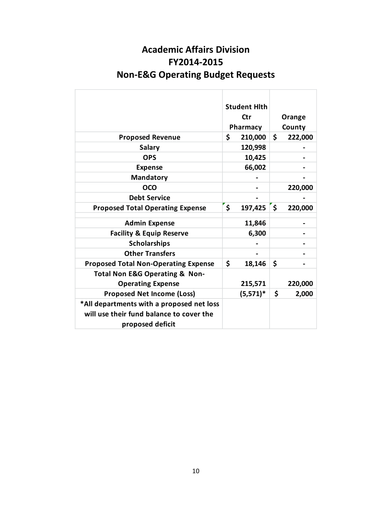| <b>Academic Affairs Division</b>             |
|----------------------------------------------|
| FY2014-2015                                  |
| <b>Non-E&amp;G Operating Budget Requests</b> |

|                                               | <b>Student Hith</b><br>Ctr<br>Pharmacy |              | Orange<br>County |
|-----------------------------------------------|----------------------------------------|--------------|------------------|
| <b>Proposed Revenue</b>                       | \$<br>210,000                          | \$           | 222,000          |
| <b>Salary</b>                                 | 120,998                                |              |                  |
| <b>OPS</b>                                    | 10,425                                 |              |                  |
| <b>Expense</b>                                | 66,002                                 |              |                  |
| <b>Mandatory</b>                              |                                        |              |                  |
| <b>OCO</b>                                    |                                        |              | 220,000          |
| <b>Debt Service</b>                           |                                        |              |                  |
| <b>Proposed Total Operating Expense</b>       | \$<br>197,425                          | $\mathsf{s}$ | 220,000          |
| <b>Admin Expense</b>                          | 11,846                                 |              |                  |
|                                               |                                        |              |                  |
| <b>Facility &amp; Equip Reserve</b>           | 6,300                                  |              |                  |
| <b>Scholarships</b><br><b>Other Transfers</b> |                                        |              |                  |
|                                               |                                        |              |                  |
| <b>Proposed Total Non-Operating Expense</b>   | \$<br>18,146                           | \$           |                  |
| <b>Total Non E&amp;G Operating &amp; Non-</b> |                                        |              |                  |
| <b>Operating Expense</b>                      | 215,571                                |              | 220,000          |
| <b>Proposed Net Income (Loss)</b>             | $(5,571)^*$                            | \$           | 2,000            |
| *All departments with a proposed net loss     |                                        |              |                  |
| will use their fund balance to cover the      |                                        |              |                  |
| proposed deficit                              |                                        |              |                  |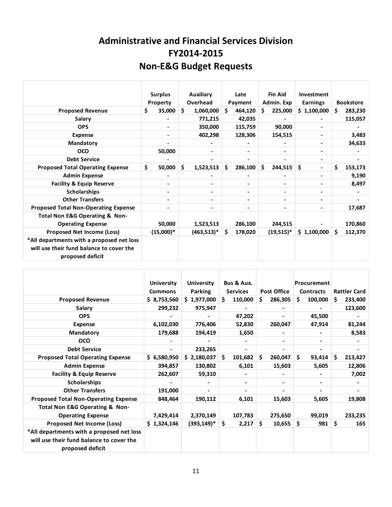## **Administrative and Financial Services Division FY2014-2015 Non-E&G Budget Requests**

|                                                                                                           | <b>Surplus</b><br>Property | <b>Auxiliary</b><br>Overhead | <b>Fin Aid</b><br>Late<br>Admin. Exp<br>Payment                                                                                                              |               | Investment<br><b>Earnings</b> | <b>Bookstore</b> |
|-----------------------------------------------------------------------------------------------------------|----------------------------|------------------------------|--------------------------------------------------------------------------------------------------------------------------------------------------------------|---------------|-------------------------------|------------------|
| <b>Proposed Revenue</b>                                                                                   | \$<br>35,000               | \$<br>1,060,000              | Ś.<br>464,120                                                                                                                                                | 225,000<br>Ś. | \$1,100,000                   | 283,230<br>S.    |
| Salary                                                                                                    |                            | 771,215                      | 42,035                                                                                                                                                       |               |                               | 115,057          |
| <b>OPS</b>                                                                                                |                            | 350,000                      | 115,759                                                                                                                                                      | 90,000        |                               |                  |
| <b>Expense</b>                                                                                            | $\blacksquare$             | 402,298                      | 128,306                                                                                                                                                      | 154,515       |                               | 3,483            |
| Mandatory                                                                                                 |                            |                              |                                                                                                                                                              |               |                               | 34,633           |
| <b>OCO</b>                                                                                                | 50,000                     |                              |                                                                                                                                                              |               |                               |                  |
| <b>Debt Service</b>                                                                                       |                            |                              |                                                                                                                                                              |               | $\qquad \qquad \blacksquare$  |                  |
| <b>Proposed Total Operating Expense</b>                                                                   | \$<br>50,000               | \$<br>1,523,513              | \$<br>286,100                                                                                                                                                | \$<br>244,515 | \$                            | Ś.<br>153,173    |
| <b>Admin Expense</b>                                                                                      |                            |                              |                                                                                                                                                              |               |                               | 9,190            |
| <b>Facility &amp; Equip Reserve</b>                                                                       | -                          |                              |                                                                                                                                                              |               |                               | 8,497            |
| <b>Scholarships</b>                                                                                       |                            |                              |                                                                                                                                                              |               |                               |                  |
| <b>Other Transfers</b>                                                                                    |                            |                              | $\hskip1.6pt\hskip1.6pt\hskip1.6pt\hskip1.6pt\hskip1.6pt\hskip1.6pt\hskip1.6pt\hskip1.6pt\hskip1.6pt\hskip1.6pt\hskip1.6pt\hskip1.6pt\hskip1.6pt$            |               |                               |                  |
| <b>Proposed Total Non-Operating Expense</b>                                                               |                            |                              | $\hskip1.6pt\hskip1.6pt\hskip1.6pt\hskip1.6pt\hskip1.6pt\hskip1.6pt\hskip1.6pt\hskip1.6pt\hskip1.6pt\hskip1.6pt\hskip1.6pt\hskip1.6pt\hskip1.6pt\hskip1.6pt$ |               |                               | 17,687           |
| <b>Total Non E&amp;G Operating &amp; Non-</b>                                                             |                            |                              |                                                                                                                                                              |               |                               |                  |
| <b>Operating Expense</b>                                                                                  | 50,000                     | 1,523,513                    | 286,100                                                                                                                                                      | 244,515       |                               | 170,860          |
| <b>Proposed Net Income (Loss)</b>                                                                         | $(15,000)*$                | $(463,513)^*$                | \$<br>178,020                                                                                                                                                | $(19,515)^*$  | \$1,100,000                   | Ŝ.<br>112,370    |
| *All departments with a proposed net loss<br>will use their fund balance to cover the<br>proposed deficit |                            |                              |                                                                                                                                                              |               |                               |                  |

|                                                                                                           | <b>University</b><br><b>Commons</b> | <b>University</b><br>Parking | Bus & Aux.<br><b>Services</b>                                                                                                                     | <b>Post Office</b>           | <b>Procurement</b><br><b>Contracts</b> | <b>Rattler Card</b>      |
|-----------------------------------------------------------------------------------------------------------|-------------------------------------|------------------------------|---------------------------------------------------------------------------------------------------------------------------------------------------|------------------------------|----------------------------------------|--------------------------|
| <b>Proposed Revenue</b>                                                                                   | \$8,753,560                         | \$1,977,000                  | S.<br>110,000                                                                                                                                     | S<br>286,305                 | 100,000<br>S.                          | 233,400<br>S             |
| <b>Salary</b>                                                                                             | 299,232                             | 975,947                      |                                                                                                                                                   |                              |                                        | 123,600                  |
| <b>OPS</b>                                                                                                |                                     |                              | 47,202                                                                                                                                            |                              | 45,500                                 | $\overline{\phantom{a}}$ |
| <b>Expense</b>                                                                                            | 6,102,030                           | 776,406                      | 52,830                                                                                                                                            | 260,047                      | 47,914                                 | 81,244                   |
| <b>Mandatory</b>                                                                                          | 179,688                             | 194,419                      | 1,650                                                                                                                                             | Ξ.                           | $\blacksquare$                         | 8,583                    |
| <b>OCO</b>                                                                                                |                                     |                              |                                                                                                                                                   | $\qquad \qquad \blacksquare$ | $\qquad \qquad \blacksquare$           |                          |
| <b>Debt Service</b>                                                                                       | -                                   | 233,265                      | $\hskip1.6pt\hskip1.6pt\hskip1.6pt\hskip1.6pt\hskip1.6pt\hskip1.6pt\hskip1.6pt\hskip1.6pt\hskip1.6pt\hskip1.6pt\hskip1.6pt\hskip1.6pt\hskip1.6pt$ | $\qquad \qquad \blacksquare$ | $\qquad \qquad \blacksquare$           |                          |
| <b>Proposed Total Operating Expense</b>                                                                   | \$6,580,950                         | \$2,180,037                  | Ś.<br>101,682                                                                                                                                     | \$.<br>260,047               | Ś.<br>93,414                           | Ŝ.<br>213,427            |
| <b>Admin Expense</b>                                                                                      | 394,857                             | 130,802                      | 6,101                                                                                                                                             | 15,603                       | 5,605                                  | 12,806                   |
| <b>Facility &amp; Equip Reserve</b>                                                                       | 262,607                             | 59,310                       | $\blacksquare$                                                                                                                                    | Ξ.                           |                                        | 7,002                    |
| <b>Scholarships</b>                                                                                       |                                     |                              | $\blacksquare$                                                                                                                                    | Ξ.                           |                                        |                          |
| <b>Other Transfers</b>                                                                                    | 191,000                             | $\blacksquare$               |                                                                                                                                                   |                              |                                        |                          |
| <b>Proposed Total Non-Operating Expense</b>                                                               | 848,464                             | 190,112                      | 6,101                                                                                                                                             | 15,603                       | 5,605                                  | 19,808                   |
| Total Non E&G Operating & Non-                                                                            |                                     |                              |                                                                                                                                                   |                              |                                        |                          |
| <b>Operating Expense</b>                                                                                  | 7,429,414                           | 2,370,149                    | 107,783                                                                                                                                           | 275,650                      | 99,019                                 | 233,235                  |
| Proposed Net Income (Loss)                                                                                | \$1,324,146                         | $(393, 149)^*$               | \$<br>2,217                                                                                                                                       | \$<br>10,655                 | \$<br>981                              | \$<br>165                |
| *All departments with a proposed net loss<br>will use their fund balance to cover the<br>proposed deficit |                                     |                              |                                                                                                                                                   |                              |                                        |                          |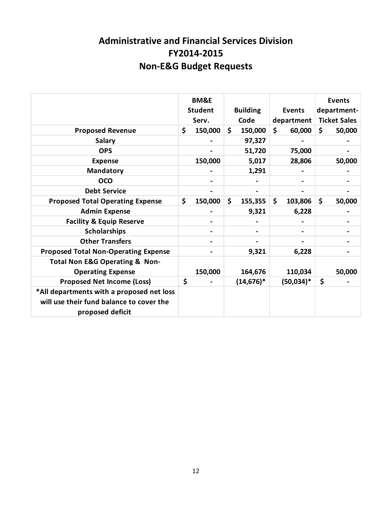## **Administrative and Financial Services Division FY2014-2015 Non-E&G Budget Requests**

|                                                                                                           | <b>BM&amp;E</b><br><b>Student</b><br>Serv. | <b>Building</b><br>Code | <b>Events</b><br>department | <b>Events</b><br>department-<br><b>Ticket Sales</b> |
|-----------------------------------------------------------------------------------------------------------|--------------------------------------------|-------------------------|-----------------------------|-----------------------------------------------------|
| <b>Proposed Revenue</b>                                                                                   | \$<br>150,000                              | \$<br>150,000           | \$<br>60,000                | \$<br>50,000                                        |
| <b>Salary</b>                                                                                             |                                            | 97,327                  |                             |                                                     |
| <b>OPS</b>                                                                                                |                                            | 51,720                  | 75,000                      |                                                     |
| <b>Expense</b>                                                                                            | 150,000                                    | 5,017                   | 28,806                      | 50,000                                              |
| <b>Mandatory</b>                                                                                          |                                            | 1,291                   |                             |                                                     |
| <b>OCO</b>                                                                                                |                                            |                         |                             |                                                     |
| <b>Debt Service</b>                                                                                       |                                            |                         |                             |                                                     |
| <b>Proposed Total Operating Expense</b>                                                                   | \$<br>150,000                              | \$<br>155,355           | \$<br>103,806               | \$<br>50,000                                        |
| <b>Admin Expense</b>                                                                                      |                                            | 9,321                   | 6,228                       |                                                     |
| <b>Facility &amp; Equip Reserve</b>                                                                       |                                            |                         |                             |                                                     |
| <b>Scholarships</b>                                                                                       |                                            |                         |                             |                                                     |
| <b>Other Transfers</b>                                                                                    |                                            |                         |                             |                                                     |
| <b>Proposed Total Non-Operating Expense</b>                                                               |                                            | 9,321                   | 6,228                       |                                                     |
| <b>Total Non E&amp;G Operating &amp; Non-</b>                                                             |                                            |                         |                             |                                                     |
| <b>Operating Expense</b>                                                                                  | 150,000                                    | 164,676                 | 110,034                     | 50,000                                              |
| <b>Proposed Net Income (Loss)</b>                                                                         | \$                                         | $(14, 676)^*$           | $(50,034)*$                 | \$                                                  |
| *All departments with a proposed net loss<br>will use their fund balance to cover the<br>proposed deficit |                                            |                         |                             |                                                     |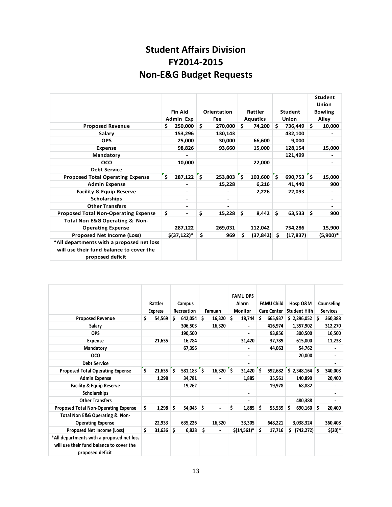## **Student Affairs Division FY2014-2015 Non-E&G Budget Requests**

|                                                                                                           | <b>Fin Aid</b><br>Admin Exp        | Orientation<br>Fee | Rattler<br><b>Aquatics</b> | <b>Student</b><br><b>Union</b> | <b>Student</b><br><b>Union</b><br><b>Bowling</b><br>Alley |
|-----------------------------------------------------------------------------------------------------------|------------------------------------|--------------------|----------------------------|--------------------------------|-----------------------------------------------------------|
| <b>Proposed Revenue</b>                                                                                   | \$<br>250,000                      | Ŝ.<br>270,000      | Ś.<br>74,200               | Ś.<br>736,449                  | Ś.<br>10,000                                              |
| Salary                                                                                                    | 153,296                            | 130,143            |                            | 432,100                        |                                                           |
| <b>OPS</b>                                                                                                | 25,000                             | 30,000             | 66,600                     | 9,000                          |                                                           |
| <b>Expense</b>                                                                                            | 98,826                             | 93,660             | 15,000                     | 128,154                        | 15,000                                                    |
| Mandatory                                                                                                 |                                    |                    |                            | 121,499                        |                                                           |
| <b>OCO</b>                                                                                                | 10,000                             |                    | 22,000                     |                                | -                                                         |
| <b>Debt Service</b>                                                                                       |                                    |                    |                            |                                | -                                                         |
| <b>Proposed Total Operating Expense</b>                                                                   | $\overline{\mathsf{s}}$<br>287,122 | ľ\$<br>253,803     | $103,600$ 5<br>ľ\$         | 690,753                        | $\mathsf{s}$<br>15,000                                    |
| <b>Admin Expense</b>                                                                                      |                                    | 15,228             | 6,216                      | 41,440                         | 900                                                       |
| <b>Facility &amp; Equip Reserve</b>                                                                       |                                    |                    | 2,226                      | 22,093                         |                                                           |
| <b>Scholarships</b>                                                                                       |                                    |                    |                            |                                |                                                           |
| <b>Other Transfers</b>                                                                                    | $\overline{\phantom{a}}$           | ٠                  |                            |                                | ٠                                                         |
| <b>Proposed Total Non-Operating Expense</b>                                                               | \$                                 | \$<br>15,228       | \$<br>8,442                | \$<br>63,533                   | \$<br>900                                                 |
| Total Non E&G Operating & Non-                                                                            |                                    |                    |                            |                                |                                                           |
| <b>Operating Expense</b>                                                                                  | 287,122                            | 269,031            | 112,042                    | 754,286                        | 15,900                                                    |
| <b>Proposed Net Income (Loss)</b>                                                                         | $$(37, 122)*$                      | \$<br>969          | \$.<br>(37, 842)           | S<br>(17, 837)                 | $(5,900)*$                                                |
| *All departments with a proposed net loss<br>will use their fund balance to cover the<br>proposed deficit |                                    |                    |                            |                                |                                                           |

|                                                                                                           |                   |               |              | <b>FAMU DPS</b>    |                    |                     |                 |
|-----------------------------------------------------------------------------------------------------------|-------------------|---------------|--------------|--------------------|--------------------|---------------------|-----------------|
|                                                                                                           | Rattler           | Campus        |              | Alarm              | <b>FAMU Child</b>  | Hosp O&M            | Counseling      |
|                                                                                                           | <b>Express</b>    | Recreation    | Famuan       | <b>Monitor</b>     | <b>Care Center</b> | <b>Student Hith</b> | <b>Services</b> |
| <b>Proposed Revenue</b>                                                                                   | \$<br>54,569      | \$<br>642,054 | Ŝ.<br>16,320 | \$<br>18,744       | \$.<br>665,937     | \$2,296,052         | ۱\$<br>360,388  |
| Salary                                                                                                    |                   | 306,503       | 16.320       |                    | 416,974            | 1,357,902           | 312,270         |
| <b>OPS</b>                                                                                                |                   | 190,500       |              |                    | 93,856             | 300,500             | 16,500          |
| <b>Expense</b>                                                                                            | 21,635            | 16,784        |              | 31,420             | 37,789             | 615,000             | 11,238          |
| Mandatory                                                                                                 |                   | 67,396        |              |                    | 44,063             | 54,762              |                 |
| oco                                                                                                       |                   |               |              | ۰                  |                    | 20,000              |                 |
| <b>Debt Service</b>                                                                                       |                   |               |              |                    |                    |                     |                 |
| <b>Proposed Total Operating Expense</b>                                                                   | \$<br>$21,635$ \$ | 581,183       | Ŝ.<br>16,320 | $31,420$ \$<br>ٔ ۶ | 592,682            | $$2,348,164$ $$$    | 340,008         |
| <b>Admin Expense</b>                                                                                      | 1,298             | 34,781        |              | 1,885              | 35,561             | 140,890             | 20,400          |
| <b>Facility &amp; Equip Reserve</b>                                                                       |                   | 19,262        |              |                    | 19,978             | 68,882              |                 |
| <b>Scholarships</b>                                                                                       |                   |               |              | ۰                  |                    |                     |                 |
| <b>Other Transfers</b>                                                                                    |                   |               |              | ۰                  |                    | 480,388             |                 |
| <b>Proposed Total Non-Operating Expense</b>                                                               | \$<br>1,298       | \$<br>54,043  | \$           | \$<br>1,885        | \$<br>55,539       | 690,160<br>s        | Ŝ<br>20,400     |
| Total Non E&G Operating & Non-                                                                            |                   |               |              |                    |                    |                     |                 |
| <b>Operating Expense</b>                                                                                  | 22,933            | 635,226       | 16,320       | 33,305             | 648,221            | 3,038,324           | 360,408         |
| Proposed Net Income (Loss)                                                                                | \$<br>31,636      | \$<br>6,828   | \$           | $$(14,561)^*$      | \$<br>17,716       | (742, 272)<br>\$    | $$(20)*$        |
| *All departments with a proposed net loss<br>will use their fund balance to cover the<br>proposed deficit |                   |               |              |                    |                    |                     |                 |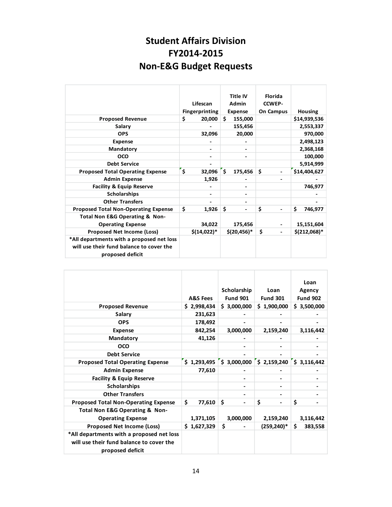## **Student Affairs Division FY2014-2015 Non-E&G Budget Requests**

|                                                                                                           | Lifescan<br><b>Fingerprinting</b> | <b>Title IV</b><br><b>Admin</b><br><b>Expense</b> | <b>Florida</b><br><b>CCWEP-</b><br><b>On Campus</b> | <b>Housing</b> |
|-----------------------------------------------------------------------------------------------------------|-----------------------------------|---------------------------------------------------|-----------------------------------------------------|----------------|
| <b>Proposed Revenue</b>                                                                                   | \$<br>20,000                      | \$<br>155,000                                     |                                                     | \$14,939,536   |
| Salary                                                                                                    |                                   | 155,456                                           |                                                     | 2,553,337      |
| <b>OPS</b>                                                                                                | 32,096                            | 20,000                                            |                                                     | 970,000        |
| <b>Expense</b>                                                                                            |                                   |                                                   |                                                     | 2,498,123      |
| <b>Mandatory</b>                                                                                          |                                   |                                                   |                                                     | 2,368,168      |
| <b>OCO</b>                                                                                                |                                   |                                                   |                                                     | 100,000        |
| <b>Debt Service</b>                                                                                       |                                   |                                                   |                                                     | 5,914,999      |
| <b>Proposed Total Operating Expense</b>                                                                   | \$<br>32,096                      | Ś.<br>175,456                                     | \$.                                                 | \$14,404,627   |
| <b>Admin Expense</b>                                                                                      | 1,926                             |                                                   |                                                     |                |
| <b>Facility &amp; Equip Reserve</b>                                                                       |                                   |                                                   |                                                     | 746,977        |
| <b>Scholarships</b>                                                                                       |                                   |                                                   |                                                     |                |
| <b>Other Transfers</b>                                                                                    |                                   |                                                   |                                                     |                |
| <b>Proposed Total Non-Operating Expense</b>                                                               | \$<br>1,926                       | Ś.                                                | \$                                                  | \$<br>746,977  |
| <b>Total Non E&amp;G Operating &amp; Non-</b><br><b>Operating Expense</b>                                 | 34,022                            | 175,456                                           |                                                     | 15,151,604     |
| Proposed Net Income (Loss)                                                                                | $$(14,022)*$                      | $$(20, 456)*$                                     | \$                                                  | $$(212,068)*$  |
| *All departments with a proposed net loss<br>will use their fund balance to cover the<br>proposed deficit |                                   |                                                   |                                                     |                |

|                                                                                                           | <b>A&amp;S Fees</b> | Scholarship<br><b>Fund 901</b> | Loan<br><b>Fund 301</b> | Loan<br>Agency<br><b>Fund 902</b> |
|-----------------------------------------------------------------------------------------------------------|---------------------|--------------------------------|-------------------------|-----------------------------------|
| <b>Proposed Revenue</b>                                                                                   | \$2,998,434         | \$3,000,000                    | \$1,900,000             | \$3,500,000                       |
| <b>Salary</b>                                                                                             | 231,623             |                                |                         |                                   |
| <b>OPS</b>                                                                                                | 178,492             |                                |                         |                                   |
| <b>Expense</b>                                                                                            | 842,254             | 3,000,000                      | 2,159,240               | 3,116,442                         |
| Mandatory                                                                                                 | 41,126              |                                |                         |                                   |
| <b>OCO</b>                                                                                                |                     |                                |                         |                                   |
| <b>Debt Service</b>                                                                                       |                     |                                |                         |                                   |
| <b>Proposed Total Operating Expense</b>                                                                   | \$1,293,495         | \$3,000,000                    | \$2,159,240             | $\frac{1}{2}$ \$ 3,116,442        |
| <b>Admin Expense</b>                                                                                      | 77,610              |                                |                         |                                   |
| <b>Facility &amp; Equip Reserve</b>                                                                       |                     |                                |                         |                                   |
| <b>Scholarships</b>                                                                                       |                     |                                |                         |                                   |
| <b>Other Transfers</b>                                                                                    |                     |                                |                         |                                   |
| <b>Proposed Total Non-Operating Expense</b>                                                               | \$<br>77,610        | \$                             | \$                      | \$                                |
| Total Non E&G Operating & Non-<br><b>Operating Expense</b>                                                | 1,371,105           | 3,000,000                      | 2,159,240               | 3,116,442                         |
| Proposed Net Income (Loss)                                                                                | \$1,627,329         | \$                             | $(259, 240)^*$          | \$<br>383,558                     |
| *All departments with a proposed net loss<br>will use their fund balance to cover the<br>proposed deficit |                     |                                |                         |                                   |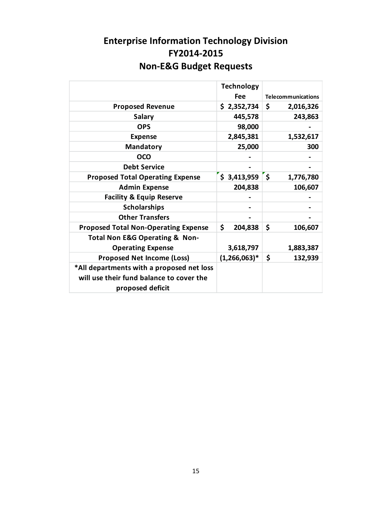## **Enterprise Information Technology Division FY2014-2015 Non-E&G Budget Requests**

|                                                                                                           | <b>Technology</b> |                                 |
|-----------------------------------------------------------------------------------------------------------|-------------------|---------------------------------|
|                                                                                                           | <b>Fee</b>        | <b>Telecommunications</b>       |
| <b>Proposed Revenue</b>                                                                                   | \$2,352,734       | \$<br>2,016,326                 |
| <b>Salary</b>                                                                                             | 445,578           | 243,863                         |
| <b>OPS</b>                                                                                                | 98,000            |                                 |
| <b>Expense</b>                                                                                            | 2,845,381         | 1,532,617                       |
| <b>Mandatory</b>                                                                                          | 25,000            | 300                             |
| OCO                                                                                                       |                   |                                 |
| <b>Debt Service</b>                                                                                       |                   |                                 |
| <b>Proposed Total Operating Expense</b>                                                                   | \$3,413,959       | $\dot{\mathsf{s}}$<br>1,776,780 |
| <b>Admin Expense</b>                                                                                      | 204,838           | 106,607                         |
| <b>Facility &amp; Equip Reserve</b>                                                                       |                   |                                 |
| <b>Scholarships</b>                                                                                       |                   |                                 |
| <b>Other Transfers</b>                                                                                    |                   |                                 |
| <b>Proposed Total Non-Operating Expense</b>                                                               | \$<br>204,838     | \$<br>106,607                   |
| <b>Total Non E&amp;G Operating &amp; Non-</b>                                                             |                   |                                 |
| <b>Operating Expense</b>                                                                                  | 3,618,797         | 1,883,387                       |
| <b>Proposed Net Income (Loss)</b>                                                                         | $(1,266,063)*$    | \$<br>132,939                   |
| *All departments with a proposed net loss<br>will use their fund balance to cover the<br>proposed deficit |                   |                                 |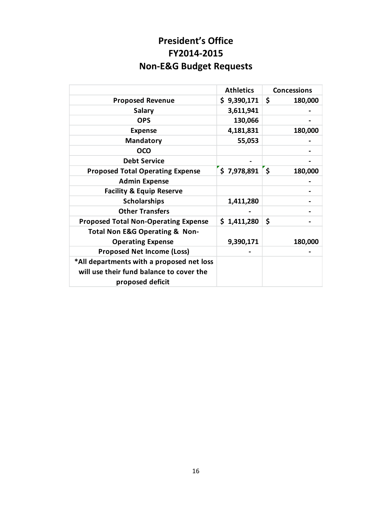## **President's Office FY2014-2015 Non-E&G Budget Requests**

|                                               | <b>Athletics</b> | <b>Concessions</b> |
|-----------------------------------------------|------------------|--------------------|
| <b>Proposed Revenue</b>                       | \$9,390,171      | \$<br>180,000      |
| <b>Salary</b>                                 | 3,611,941        |                    |
| <b>OPS</b>                                    | 130,066          |                    |
| <b>Expense</b>                                | 4,181,831        | 180,000            |
| <b>Mandatory</b>                              | 55,053           |                    |
| <b>OCO</b>                                    |                  |                    |
| <b>Debt Service</b>                           |                  |                    |
| <b>Proposed Total Operating Expense</b>       | $$7,978,891$ $$$ | 180,000            |
| <b>Admin Expense</b>                          |                  |                    |
| <b>Facility &amp; Equip Reserve</b>           |                  |                    |
| <b>Scholarships</b>                           | 1,411,280        |                    |
| <b>Other Transfers</b>                        |                  |                    |
| <b>Proposed Total Non-Operating Expense</b>   | \$1,411,280      | \$                 |
| <b>Total Non E&amp;G Operating &amp; Non-</b> |                  |                    |
| <b>Operating Expense</b>                      | 9,390,171        | 180,000            |
| <b>Proposed Net Income (Loss)</b>             |                  |                    |
| *All departments with a proposed net loss     |                  |                    |
| will use their fund balance to cover the      |                  |                    |
| proposed deficit                              |                  |                    |